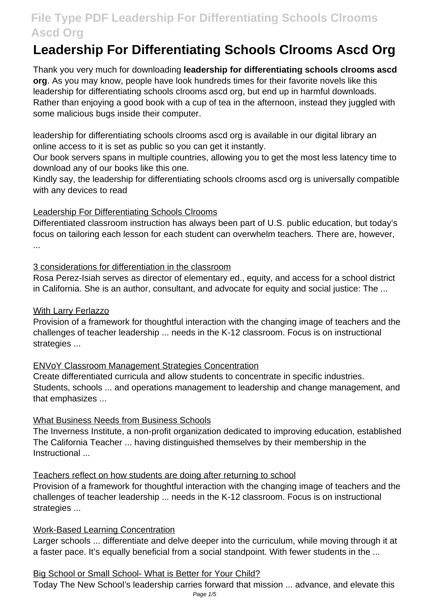# **Leadership For Differentiating Schools Clrooms Ascd Org**

Thank you very much for downloading **leadership for differentiating schools clrooms ascd org**. As you may know, people have look hundreds times for their favorite novels like this leadership for differentiating schools clrooms ascd org, but end up in harmful downloads. Rather than enjoying a good book with a cup of tea in the afternoon, instead they juggled with some malicious bugs inside their computer.

leadership for differentiating schools clrooms ascd org is available in our digital library an online access to it is set as public so you can get it instantly.

Our book servers spans in multiple countries, allowing you to get the most less latency time to download any of our books like this one.

Kindly say, the leadership for differentiating schools clrooms ascd org is universally compatible with any devices to read

#### Leadership For Differentiating Schools Clrooms

Differentiated classroom instruction has always been part of U.S. public education, but today's focus on tailoring each lesson for each student can overwhelm teachers. There are, however, ...

### 3 considerations for differentiation in the classroom

Rosa Perez-Isiah serves as director of elementary ed., equity, and access for a school district in California. She is an author, consultant, and advocate for equity and social justice: The ...

### With Larry Ferlazzo

Provision of a framework for thoughtful interaction with the changing image of teachers and the challenges of teacher leadership ... needs in the K-12 classroom. Focus is on instructional strategies ...

#### ENVoY Classroom Management Strategies Concentration

Create differentiated curricula and allow students to concentrate in specific industries. Students, schools ... and operations management to leadership and change management, and that emphasizes ...

### What Business Needs from Business Schools

The Inverness Institute, a non-profit organization dedicated to improving education, established The California Teacher ... having distinguished themselves by their membership in the Instructional ...

### Teachers reflect on how students are doing after returning to school

Provision of a framework for thoughtful interaction with the changing image of teachers and the challenges of teacher leadership ... needs in the K-12 classroom. Focus is on instructional strategies ...

#### Work-Based Learning Concentration

Larger schools ... differentiate and delve deeper into the curriculum, while moving through it at a faster pace. It's equally beneficial from a social standpoint. With fewer students in the ...

#### Big School or Small School- What is Better for Your Child?

Today The New School's leadership carries forward that mission ... advance, and elevate this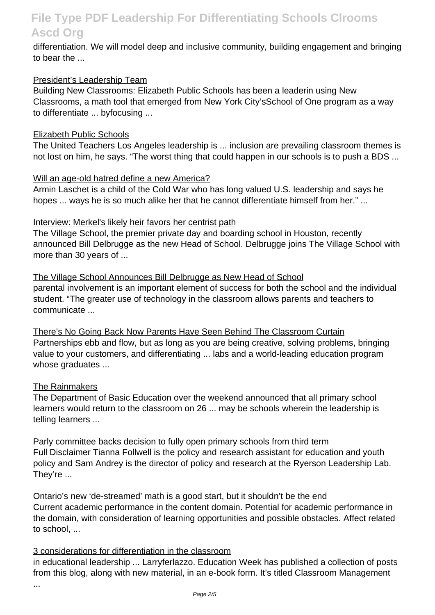differentiation. We will model deep and inclusive community, building engagement and bringing to bear the ...

#### President's Leadership Team

Building New Classrooms: Elizabeth Public Schools has been a leaderin using New Classrooms, a math tool that emerged from New York City'sSchool of One program as a way to differentiate ... byfocusing ...

#### Elizabeth Public Schools

The United Teachers Los Angeles leadership is ... inclusion are prevailing classroom themes is not lost on him, he says. "The worst thing that could happen in our schools is to push a BDS ...

#### Will an age-old hatred define a new America?

Armin Laschet is a child of the Cold War who has long valued U.S. leadership and says he hopes ... ways he is so much alike her that he cannot differentiate himself from her." ...

#### Interview: Merkel's likely heir favors her centrist path

The Village School, the premier private day and boarding school in Houston, recently announced Bill Delbrugge as the new Head of School. Delbrugge joins The Village School with more than 30 years of ...

The Village School Announces Bill Delbrugge as New Head of School parental involvement is an important element of success for both the school and the individual student. "The greater use of technology in the classroom allows parents and teachers to communicate ...

There's No Going Back Now Parents Have Seen Behind The Classroom Curtain Partnerships ebb and flow, but as long as you are being creative, solving problems, bringing value to your customers, and differentiating ... labs and a world-leading education program whose graduates ...

#### The Rainmakers

The Department of Basic Education over the weekend announced that all primary school learners would return to the classroom on 26 ... may be schools wherein the leadership is telling learners ...

Parly committee backs decision to fully open primary schools from third term Full Disclaimer Tianna Follwell is the policy and research assistant for education and youth policy and Sam Andrey is the director of policy and research at the Ryerson Leadership Lab. They're ...

Ontario's new 'de-streamed' math is a good start, but it shouldn't be the end Current academic performance in the content domain. Potential for academic performance in the domain, with consideration of learning opportunities and possible obstacles. Affect related to school, ...

#### 3 considerations for differentiation in the classroom

in educational leadership ... Larryferlazzo. Education Week has published a collection of posts from this blog, along with new material, in an e-book form. It's titled Classroom Management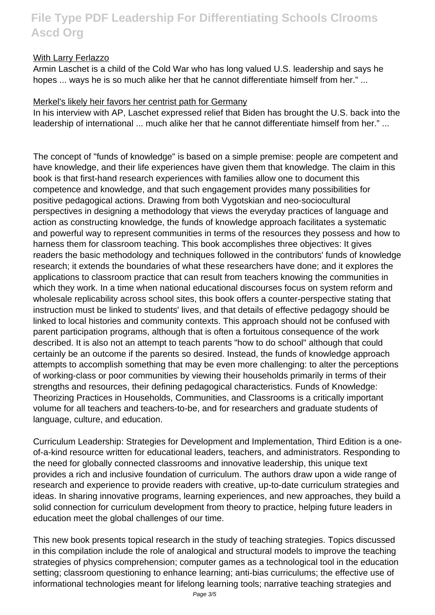#### With Larry Ferlazzo

Armin Laschet is a child of the Cold War who has long valued U.S. leadership and says he hopes ... ways he is so much alike her that he cannot differentiate himself from her." ...

#### Merkel's likely heir favors her centrist path for Germany

In his interview with AP, Laschet expressed relief that Biden has brought the U.S. back into the leadership of international ... much alike her that he cannot differentiate himself from her." ...

The concept of "funds of knowledge" is based on a simple premise: people are competent and have knowledge, and their life experiences have given them that knowledge. The claim in this book is that first-hand research experiences with families allow one to document this competence and knowledge, and that such engagement provides many possibilities for positive pedagogical actions. Drawing from both Vygotskian and neo-sociocultural perspectives in designing a methodology that views the everyday practices of language and action as constructing knowledge, the funds of knowledge approach facilitates a systematic and powerful way to represent communities in terms of the resources they possess and how to harness them for classroom teaching. This book accomplishes three objectives: It gives readers the basic methodology and techniques followed in the contributors' funds of knowledge research; it extends the boundaries of what these researchers have done; and it explores the applications to classroom practice that can result from teachers knowing the communities in which they work. In a time when national educational discourses focus on system reform and wholesale replicability across school sites, this book offers a counter-perspective stating that instruction must be linked to students' lives, and that details of effective pedagogy should be linked to local histories and community contexts. This approach should not be confused with parent participation programs, although that is often a fortuitous consequence of the work described. It is also not an attempt to teach parents "how to do school" although that could certainly be an outcome if the parents so desired. Instead, the funds of knowledge approach attempts to accomplish something that may be even more challenging: to alter the perceptions of working-class or poor communities by viewing their households primarily in terms of their strengths and resources, their defining pedagogical characteristics. Funds of Knowledge: Theorizing Practices in Households, Communities, and Classrooms is a critically important volume for all teachers and teachers-to-be, and for researchers and graduate students of language, culture, and education.

Curriculum Leadership: Strategies for Development and Implementation, Third Edition is a oneof-a-kind resource written for educational leaders, teachers, and administrators. Responding to the need for globally connected classrooms and innovative leadership, this unique text provides a rich and inclusive foundation of curriculum. The authors draw upon a wide range of research and experience to provide readers with creative, up-to-date curriculum strategies and ideas. In sharing innovative programs, learning experiences, and new approaches, they build a solid connection for curriculum development from theory to practice, helping future leaders in education meet the global challenges of our time.

This new book presents topical research in the study of teaching strategies. Topics discussed in this compilation include the role of analogical and structural models to improve the teaching strategies of physics comprehension; computer games as a technological tool in the education setting; classroom questioning to enhance learning; anti-bias curriculums; the effective use of informational technologies meant for lifelong learning tools; narrative teaching strategies and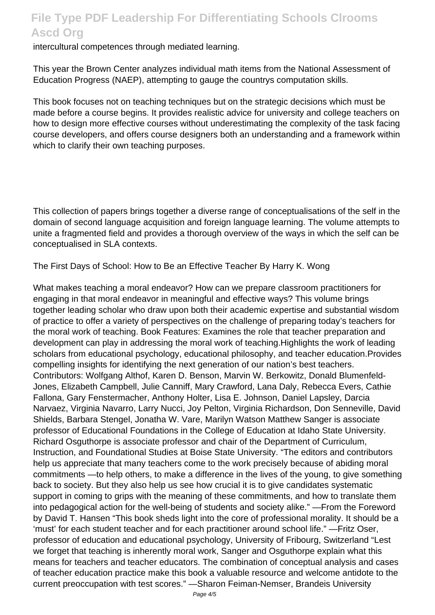intercultural competences through mediated learning.

This year the Brown Center analyzes individual math items from the National Assessment of Education Progress (NAEP), attempting to gauge the countrys computation skills.

This book focuses not on teaching techniques but on the strategic decisions which must be made before a course begins. It provides realistic advice for university and college teachers on how to design more effective courses without underestimating the complexity of the task facing course developers, and offers course designers both an understanding and a framework within which to clarify their own teaching purposes.

This collection of papers brings together a diverse range of conceptualisations of the self in the domain of second language acquisition and foreign language learning. The volume attempts to unite a fragmented field and provides a thorough overview of the ways in which the self can be conceptualised in SLA contexts.

The First Days of School: How to Be an Effective Teacher By Harry K. Wong

What makes teaching a moral endeavor? How can we prepare classroom practitioners for engaging in that moral endeavor in meaningful and effective ways? This volume brings together leading scholar who draw upon both their academic expertise and substantial wisdom of practice to offer a variety of perspectives on the challenge of preparing today's teachers for the moral work of teaching. Book Features: Examines the role that teacher preparation and development can play in addressing the moral work of teaching.Highlights the work of leading scholars from educational psychology, educational philosophy, and teacher education.Provides compelling insights for identifying the next generation of our nation's best teachers. Contributors: Wolfgang Althof, Karen D. Benson, Marvin W. Berkowitz, Donald Blumenfeld-Jones, Elizabeth Campbell, Julie Canniff, Mary Crawford, Lana Daly, Rebecca Evers, Cathie Fallona, Gary Fenstermacher, Anthony Holter, Lisa E. Johnson, Daniel Lapsley, Darcia Narvaez, Virginia Navarro, Larry Nucci, Joy Pelton, Virginia Richardson, Don Senneville, David Shields, Barbara Stengel, Jonatha W. Vare, Marilyn Watson Matthew Sanger is associate professor of Educational Foundations in the College of Education at Idaho State University. Richard Osguthorpe is associate professor and chair of the Department of Curriculum, Instruction, and Foundational Studies at Boise State University. "The editors and contributors help us appreciate that many teachers come to the work precisely because of abiding moral commitments —to help others, to make a difference in the lives of the young, to give something back to society. But they also help us see how crucial it is to give candidates systematic support in coming to grips with the meaning of these commitments, and how to translate them into pedagogical action for the well-being of students and society alike." —From the Foreword by David T. Hansen "This book sheds light into the core of professional morality. It should be a 'must' for each student teacher and for each practitioner around school life." —Fritz Oser, professor of education and educational psychology, University of Fribourg, Switzerland "Lest we forget that teaching is inherently moral work, Sanger and Osguthorpe explain what this means for teachers and teacher educators. The combination of conceptual analysis and cases of teacher education practice make this book a valuable resource and welcome antidote to the current preoccupation with test scores." —Sharon Feiman-Nemser, Brandeis University